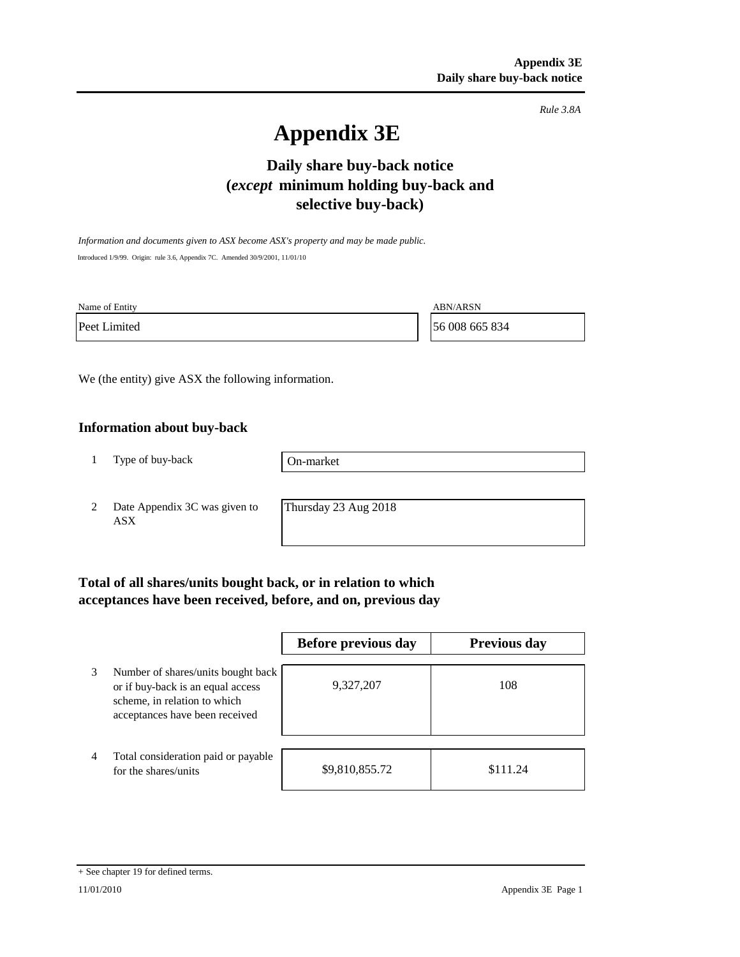*Rule 3.8A*

# **Appendix 3E**

## **Daily share buy-back notice (***except* **minimum holding buy-back and selective buy-back)**

*Information and documents given to ASX become ASX's property and may be made public.* Introduced 1/9/99. Origin: rule 3.6, Appendix 7C. Amended 30/9/2001, 11/01/10

Name of Entity ABN/ARSN

Peet Limited 56 008 665 834

We (the entity) give ASX the following information.

### **Information about buy-back**

1 Type of buy-back

On-market

2 Date Appendix 3C was given to ASX

Thursday 23 Aug 2018

## **Total of all shares/units bought back, or in relation to which acceptances have been received, before, and on, previous day**

|   |                                                                                                                                           | Before previous day | <b>Previous day</b> |
|---|-------------------------------------------------------------------------------------------------------------------------------------------|---------------------|---------------------|
| 3 | Number of shares/units bought back<br>or if buy-back is an equal access<br>scheme, in relation to which<br>acceptances have been received | 9,327,207           | 108                 |
| 4 | Total consideration paid or payable<br>for the shares/units                                                                               | \$9,810,855.72      | \$111.24            |

<sup>+</sup> See chapter 19 for defined terms.